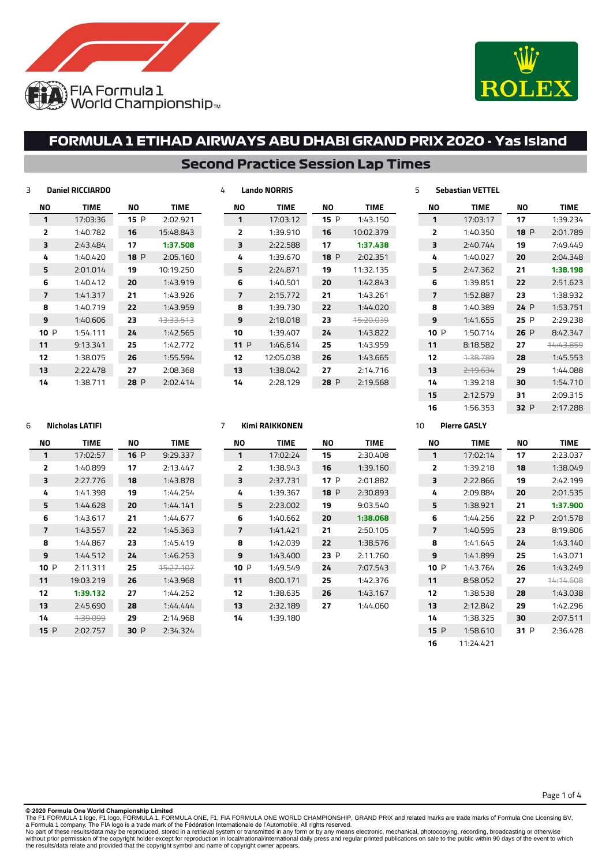



### **Second Practice Session Lap Times**

| 3 |     | <b>Daniel RICCIARDO</b> |      |                      | 4 |                | <b>Lando NORRIS</b> |
|---|-----|-------------------------|------|----------------------|---|----------------|---------------------|
|   | ΝO  | <b>TIME</b>             | ΝO   | <b>TIME</b>          |   | ΝO             | <b>TIME</b>         |
|   | 1   | 17:03:36                | 15 P | 2:02.921             |   | 1              | 17:03:1             |
|   | 2   | 1:40.782                | 16   | 15:48.843            |   | 2              | 1:39.91             |
|   | 3   | 2:43.484                | 17   | 1:37.508             |   | 3              | 2:22.58             |
|   | 4   | 1:40.420                | 18P  | 2:05.160             |   | 4              | 1:39.67             |
|   | 5   | 2:01.014                | 19   | 10:19.250            |   | 5              | 2:24.87             |
|   | 6   | 1:40.412                | 20   | 1:43.919             |   | 6              | 1:40.50             |
|   | 7   | 1:41.317                | 21   | 1:43.926             |   | $\overline{ }$ | 2:15.77             |
|   | 8   | 1:40.719                | 22   | 1:43.959             |   | 8              | 1:39.73             |
|   | 9   | 1:40.606                | 23   | <del>13:33.513</del> |   | 9              | 2:18.01             |
|   | 10P | 1:54.111                | 24   | 1:42.565             |   | 10             | 1:39.40             |
|   | 11  | 9:13.341                | 25   | 1:42.772             |   | 11P            | 1:46.61             |
|   | 12  | 1:38.075                | 26   | 1:55.594             |   | 12             | 12:05.03            |
|   | 13  | 2:22.478                | 27   | 2:08.368             |   | 13             | 1:38.04             |
|   | 14  | 1:38.711                | 28 P | 2:02.414             |   | 14             | 2:28.12             |

| ΝO             | <b>TIME</b> | NΟ   | TIME      |
|----------------|-------------|------|-----------|
| 1              | 17:03:12    | 15P  | 1:43.150  |
| $\overline{2}$ | 1:39.910    | 16   | 10:02.379 |
| 3              | 2:22.588    | 17   | 1:37.438  |
| 4              | 1:39.670    | 18 P | 2:02.351  |
| 5              | 2:24.871    | 19   | 11:32.135 |
| 6              | 1:40.501    | 20   | 1:42.843  |
| 7              | 2:15.772    | 21   | 1:43.261  |
| 8              | 1:39.730    | 22   | 1:44.020  |
| 9              | 2:18.018    | 23   | 15:20.039 |
| 10             | 1:39.407    | 24   | 1:43.822  |
| 11P            | 1:46.614    | 25   | 1:43.959  |
| 12             | 12:05.038   | 26   | 1:43.665  |
| 13             | 1:38.042    | 27   | 2:14.716  |
| 14             | 2:28.129    | 28 P | 2:19.568  |

| NΟ     | <b>TIMF</b> | NΩ       | <b>TIMF</b> |
|--------|-------------|----------|-------------|
| 1      | 17:03:17    | 17       | 1:39.234    |
| 2      | 1:40.350    | 18 P     | 2:01.789    |
| 3      | 2:40.744    | 19       | 7:49.449    |
| 4      | 1:40.027    | 20       | 2:04.348    |
| 5      | 2:47.362    | 21       | 1:38.198    |
| 6      | 1:39.851    | 22       | 2:51.623    |
| 7      | 1:52.887    | 23       | 1:38.932    |
| я      | 1:40.389    | 24P      | 1:53.751    |
| 9      | 1:41.655    | 25.<br>P | 2:29.238    |
| 10 $P$ | 1:50.714    | 26 P     | 8:42.347    |
| 11     | 8:18.582    | 27       | 14:43.859   |
| 12     | 4:38.789    | 28       | 1:45.553    |
| 13     | 7.19.674    | 29       | 1:44.088    |
| 14     | 1:39.218    | 30       | 1:54.710    |
| 15     | 2:12.579    | 31       | 2:09.315    |
| 16     | 1:56.353    | 32 P     | 2:17.288    |

#### **Nicholas LATIFI**

| NΟ             | <b>TIME</b>      | NΟ   | TIME      |
|----------------|------------------|------|-----------|
| 1              | 17:02:57         | 16P  | 9:29.337  |
| $\overline{2}$ | 1:40.899         | 17   | 2:13.447  |
| 3              | 2:27.776         | 18   | 1:43.878  |
| 4              | 1:41.398         | 19   | 1.44 754  |
| 5              | 1:44.628         | 20   | 1.44 141  |
| 6              | 1:43.617         | 21   | 1:44.677  |
| 7              | 1:43.557         | 22   | 1:45.363  |
| я              | 1:44.867         | 23   | 1:45.419  |
| ٩              | 1:44.512         | 24   | 1:46.253  |
| 10 P           | 2:11.311         | 25   | 15:27.107 |
| 11             | 19:03.219        | 26   | 1:43.968  |
| 12             | 1:39.132         | 27   | 1:44.252  |
| 13             | 2:45.690         | 28   | 1:44.444  |
| 14             | <u> 1:39.099</u> | 29   | 2:14.968  |
| 15 P           | 2:02.757         | 30 P | 2:34.324  |

#### **Kimi RAIKKONEN**

| NΟ  | <b>TIME</b> | NΟ   | <b>TIME</b> |
|-----|-------------|------|-------------|
| 1   | 17:02:24    | 15   | 2:30.408    |
| 2   | 1:38.943    | 16   | 1:39.160    |
| з   | 2:37.731    | 17 P | 2:01.882    |
| 4   | 1:39.367    | 18P  | 2:30.893    |
| 5   | 2:23.002    | 19   | 9:03.540    |
| 6   | 1:40.662    | 20   | 1:38.068    |
| 7   | 1:41.421    | 21   | 2:50.105    |
| 8   | 1:42.039    | 22   | 1:38.576    |
| 9   | 1:43.400    | 23 P | 2:11.760    |
| 10P | 1:49.549    | 24   | 7:07.543    |
| 11  | 8:00.171    | 25   | 1:42.376    |
| 12  | 1:38.635    | 26   | 1:43.167    |
| 13  | 2:32.189    | 27   | 1:44.060    |
| 14  | 1:39.180    |      |             |

#### **Pierre GASLY**

**Sebastian VETTEL**

| NΟ             | <b>TIME</b> | NΟ   | <b>TIME</b>          |
|----------------|-------------|------|----------------------|
| 1              | 17:02:14    | 17   | 2:23.037             |
| $\overline{2}$ | 1:39.218    | 18   | 1:38.049             |
| ₹              | 2:22.866    | 19   | 2:42.199             |
| 4              | 2:09.884    | 20   | 2:01.535             |
| 5              | 1:38.921    | 21   | 1:37.900             |
| 6              | 1:44.256    | 22 P | 2:01.578             |
| 7              | 1:40.595    | 23   | 8:19.806             |
| 8              | 1:41.645    | 24   | 1:43.140             |
| q              | 1:41.899    | 25   | 1:43.071             |
| 10P            | 1:43.764    | 26   | 1:43.249             |
| 11             | 8:58.052    | 27   | <del>14:14.608</del> |
| 12             | 1:38.538    | 28   | 1:43.038             |
| 13             | 2:12.842    | 29   | 1:42.296             |
| 14             | 1:38.325    | 30   | 2:07.511             |
| 15P            | 1:58.610    | 31 P | 2:36.428             |
| 16             | 11:24.421   |      |                      |

#### Page 1 of 4

**© 2020 Formula One World Championship Limited**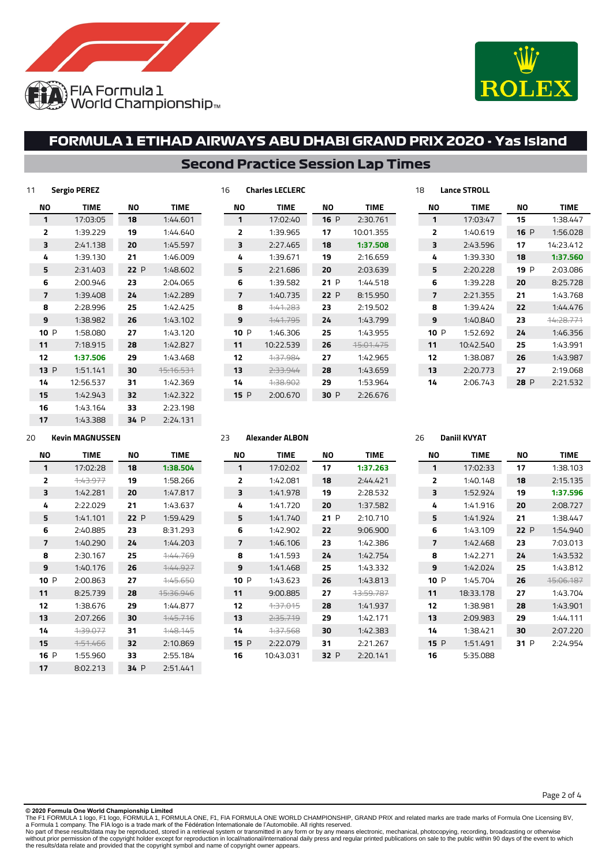



### **Second Practice Session Lap Times**

| 11<br><b>Sergio PEREZ</b> |             |      |             |  |  |  |  |  |  |
|---------------------------|-------------|------|-------------|--|--|--|--|--|--|
| NΟ                        | <b>TIME</b> | ΝO   | <b>TIME</b> |  |  |  |  |  |  |
| 1                         | 17:03:05    | 18   | 1:44.601    |  |  |  |  |  |  |
| 2                         | 1:39.229    | 19   | 1:44.640    |  |  |  |  |  |  |
| 3                         | 2:41.138    | 20   | 1:45.597    |  |  |  |  |  |  |
| 4                         | 1:39.130    | 21   | 1:46.009    |  |  |  |  |  |  |
| 5                         | 2:31.403    | 22P  | 1:48.602    |  |  |  |  |  |  |
| 6                         | 2:00.946    | 23   | 2:04.065    |  |  |  |  |  |  |
| 7                         | 1:39.408    | 24   | 1:42.289    |  |  |  |  |  |  |
| 8                         | 2:28.996    | 25   | 1:42.425    |  |  |  |  |  |  |
| 9                         | 1:38.982    | 26   | 1:43.102    |  |  |  |  |  |  |
| 10<br>P                   | 1:58.080    | 27   | 1:43.120    |  |  |  |  |  |  |
| 11                        | 7:18.915    | 28   | 1:42.827    |  |  |  |  |  |  |
| 12                        | 1:37.506    | 29   | 1:43.468    |  |  |  |  |  |  |
| 13P                       | 1:51.141    | 30   | 15:16.531   |  |  |  |  |  |  |
| 14                        | 12:56.537   | 31   | 1:42.369    |  |  |  |  |  |  |
| 15                        | 1:42.943    | 32   | 1:42.322    |  |  |  |  |  |  |
| 16                        | 1:43.164    | 33   | 2:23.198    |  |  |  |  |  |  |
| 17                        | 1:43.388    | 34 P | 2:24.131    |  |  |  |  |  |  |

| 16 |      | <b>Charles LECLERC</b> |      |                      |             | 18 |                | <b>Lance STROLL</b> |      |             |
|----|------|------------------------|------|----------------------|-------------|----|----------------|---------------------|------|-------------|
| ΝO |      | <b>TIME</b>            | ΝO   |                      | <b>TIME</b> |    | ΝO             | <b>TIME</b>         | ΝO   | <b>TIME</b> |
|    | 1    | 17:02:40               | 16P  |                      | 2:30.761    |    | 1              | 17:03:47            | 15   | 1:38.447    |
|    | 2    | 1:39.965               | 17   | 10:01.355            |             |    | $\overline{2}$ | 1:40.619            | 16P  | 1:56.028    |
|    | 3    | 2:27.465               | 18   |                      | 1:37.508    |    | 3              | 2:43.596            | 17   | 14:23.412   |
|    | 4    | 1:39.671               | 19   |                      | 2:16.659    |    | 4              | 1:39.330            | 18   | 1:37.560    |
|    | 5    | 2:21.686               | 20   |                      | 2:03.639    |    | 5              | 2:20.228            | 19 P | 2:03.086    |
|    | 6    | 1:39.582               | 21P  |                      | 1:44.518    |    | 6              | 1:39.228            | 20   | 8:25.728    |
|    | 7    | 1:40.735               | 22 P |                      | 8:15.950    |    | 7              | 2:21.355            | 21   | 1:43.768    |
|    | 8    | 1:41.283               | 23   |                      | 2:19.502    |    | 8              | 1:39.424            | 22   | 1:44.476    |
|    | 9    | 1:41.795               | 24   |                      | 1:43.799    |    | 9              | 1:40.840            | 23   | 44:28.771   |
|    | 10 P | 1:46.306               | 25   |                      | 1:43.955    |    | 10P            | 1:52.692            | 24   | 1:46.356    |
| 11 |      | 10:22.539              | 26   | <del>15:01.475</del> |             |    | 11             | 10:42.540           | 25   | 1:43.991    |
| 12 |      | 1:37.984               | 27   |                      | 1:42.965    |    | 12             | 1:38.087            | 26   | 1:43.987    |
| 13 |      | 2:33.944               | 28   |                      | 1:43.659    |    | 13             | 2:20.773            | 27   | 2:19.068    |
| 14 |      | 4:38.902               | 29   |                      | 1:53.964    |    | 14             | 2:06.743            | 28 P | 2:21.532    |
|    | 15P  | 2:00.670               | 30 P |                      | 2:26.676    |    |                |                     |      |             |

**Daniil KVYAT**

#### **Kevin MAGNUSSEN**

| NΟ             | <b>TIME</b> | NΟ      | <b>TIME</b> |
|----------------|-------------|---------|-------------|
| 1              | 17:02:28    | 18      | 1:38.504    |
| $\overline{2}$ | 1.43.977    | 19      | 1:58.266    |
| 3              | 1:42.281    | 20      | 1:47.817    |
| 4              | 2:22.029    | 21      | 1:43.637    |
| 5              | 1:41.101    | 22P     | 1:59.429    |
| 6              | 2:40.885    | 23      | 8:31.293    |
| 7              | 1:40.290    | 24      | 1:44.203    |
| 8              | 2:30.167    | 25      | 7.44.769    |
| 9              | 1:40.176    | 26      | 7.44977     |
| 10 P           | 2:00.863    | 27      | 7.45.650    |
| 11             | 8:25.739    | 28      | 15.36.946   |
| 12             | 1:38.676    | 29      | 1:44.877    |
| 13             | 2:07.266    | 30      | 7.45716     |
| 14             | 1.39.077    | 31      | $-4.48.145$ |
| 15             | 1.51466     | 32      | 2:10.869    |
| 16<br>P        | 1:55.960    | 33      | 2:55.184    |
| 17             | 8:02.213    | 34<br>P | 2:51.441    |

|  | ╌        | 17 I |
|--|----------|------|
|  | 17:02:02 |      |
|  |          |      |

**Alexander ALBON**

| ΝO   | TIME                | ΝO   | TIME      | NΟ   | TIME      | ΝO   | TIME      |
|------|---------------------|------|-----------|------|-----------|------|-----------|
| 1    | 17:02:02            | 17   | 1:37.263  | 1    | 17:02:33  | 17   | 1:38.103  |
| 2    | 1:42.081            | 18   | 2:44.421  | 2    | 1:40.148  | 18   | 2:15.135  |
| 3    | 1:41.978            | 19   | 2:28.532  | 3    | 1:52.924  | 19   | 1:37.596  |
| 4    | 1:41.720            | 20   | 1:37.582  | 4    | 1:41.916  | 20   | 2:08.727  |
| 5    | 1:41.740            | 21P  | 2:10.710  | 5    | 1:41.924  | 21   | 1:38.447  |
| 6    | 1:42.902            | 22   | 9:06.900  | 6    | 1:43.109  | 22P  | 1:54.940  |
| 7    | 1:46.106            | 23   | 1:42.386  | 7    | 1:42.468  | 23   | 7:03.013  |
| 8    | 1:41.593            | 24   | 1:42.754  | 8    | 1:42.271  | 24   | 1:43.532  |
| 9    | 1:41.468            | 25   | 1:43.332  | 9    | 1:42.024  | 25   | 1:43.812  |
| 10 P | 1:43.623            | 26   | 1:43.813  | 10 P | 1:45.704  | 26   | 15:06.187 |
| 11   | 9:00.885            | 27   | 43:59.787 | 11   | 18:33.178 | 27   | 1:43.704  |
| 12   | <del>1:37.015</del> | 28   | 1:41.937  | 12   | 1:38.981  | 28   | 1:43.901  |
| 13   | 2:35.719            | 29   | 1:42.171  | 13   | 2:09.983  | 29   | 1:44.111  |
| 14   | 4:37.568            | 30   | 1:42.383  | 14   | 1:38.421  | 30   | 2:07.220  |
| 15P  | 2:22.079            | 31   | 2:21.267  | 15P  | 1:51.491  | 31 P | 2:24.954  |
| 16   | 10:43.031           | 32 P | 2:20.141  | 16   | 5:35.088  |      |           |

**© 2020 Formula One World Championship Limited**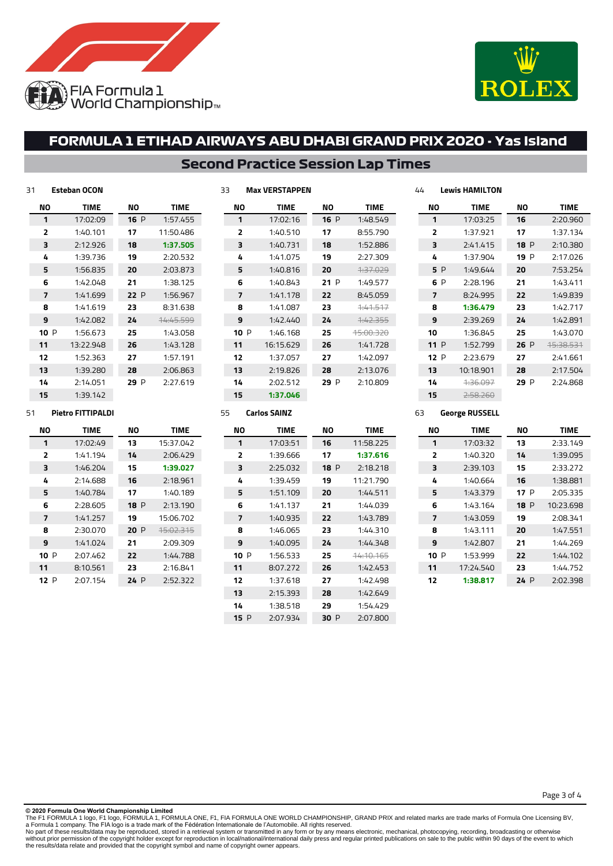



### **Second Practice Session Lap Times**

**NO TIME** P 1:48.549 8:55.790 1:52.886 2:27.309 1:37.029 P 1:49.577 8:45.059 1:41.517 1:42.355 15:00.320 1:41.728 1:42.097 2:13.076 P 2:10.809

| 31   | <b>Esteban OCON</b> |      |           | 33 |                | <b>Max VERSTAPPEN</b> |
|------|---------------------|------|-----------|----|----------------|-----------------------|
| NΟ   | <b>TIME</b>         | ΝO   | TIME      |    | ΝO             | <b>TIME</b>           |
| 1    | 17:02:09            | 16P  | 1:57.455  |    | 1              | 17:02:16              |
| 2    | 1:40.101            | 17   | 11:50.486 |    | $\overline{2}$ | 1:40.510              |
| 3    | 2:12.926            | 18   | 1:37.505  |    | 3              | 1:40.731              |
| 4    | 1:39.736            | 19   | 2:20.532  |    | 4              | 1:41.075              |
| 5    | 1:56.835            | 20   | 2:03.873  |    | 5              | 1:40.816              |
| 6    | 1:42.048            | 21   | 1:38.125  |    | 6              | 1:40.843              |
| 7    | 1:41.699            | 22 P | 1:56.967  |    | 7              | 1:41.178              |
| 8    | 1:41.619            | 23   | 8:31.638  |    | 8              | 1:41.087              |
| 9    | 1:42.082            | 24   | 14:45.599 |    | 9              | 1:42.440              |
| 10 P | 1:56.673            | 25   | 1:43.058  |    | 10P            | 1:46.168              |
| 11   | 13:22.948           | 26   | 1:43.128  |    | 11             | 16:15.629             |
| 12   | 1:52.363            | 27   | 1:57.191  |    | 12             | 1:37.057              |
| 13   | 1:39.280            | 28   | 2:06.863  |    | 13             | 2:19.826              |
| 14   | 2:14.051            | 29 P | 2:27.619  |    | 14             | 2:02.512              |
| 15   | 1:39.142            |      |           |    | 15             | 1:37.046              |
|      |                     |      |           |    |                |                       |

| Lewis HAMILTON<br>44 |      |                     |         |                   |  |  |
|----------------------|------|---------------------|---------|-------------------|--|--|
|                      | NΟ   | <b>TIME</b>         | NΟ      | TIME              |  |  |
|                      | 1    | 17:03:25            | 16      | 2:20.960          |  |  |
|                      | 2    | 1:37.921            | 17      | 1:37.134          |  |  |
|                      | 3    | 2:41.415            | 18P     | 2:10.380          |  |  |
|                      | 4    | 1:37.904            | P<br>19 | 2:17.026          |  |  |
|                      | 5 P  | 1:49.644            | 20      | 7:53.254          |  |  |
|                      | 6 P  | 2:28.196            | 21      | 1:43.411          |  |  |
|                      | 7    | 8:24.995            | 22      | 1:49.839          |  |  |
|                      | 8    | 1:36.479            | 23      | 1:42.717          |  |  |
|                      | 9    | 2:39.269            | 24      | 1:42.891          |  |  |
|                      | 10   | 1:36.845            | 25      | 1:43.070          |  |  |
|                      | 11 P | 1:52.799            | 26P     | <u> 45.38.531</u> |  |  |
|                      | 12P  | 2:23.679            | 27      | 2:41.661          |  |  |
|                      | 13   | 10:18.901           | 28      | 2:17.504          |  |  |
|                      | 14   | <del>1:36.097</del> | 29 P    | 2:24.868          |  |  |
|                      | 15   | 2:58.260            |         |                   |  |  |

### **Pietro FITTIPALDI**

| NΟ             | <b>TIME</b> | NΟ   | TIME                 |  |
|----------------|-------------|------|----------------------|--|
| 1              | 17:02:49    | 13   | 15:37.042            |  |
| $\overline{2}$ | 1:41.194    | 14   | 2:06.429             |  |
| 3              | 1:46.204    | 15   | 1:39.027             |  |
| 4              | 2:14.688    | 16   | 2:18.961             |  |
| 5              | 1:40.784    | 17   | 1:40.189             |  |
| 6              | 2:28.605    | 18 P | 2:13.190             |  |
| 7              | 1:41.257    | 19   | 15:06.702            |  |
| 8              | 2:30.070    | 20P  | <del>15:02.315</del> |  |
| 9              | 1:41.024    | 21   | 2:09.309             |  |
| 10 P           | 2:07.462    | 22   | 1:44.788             |  |
| 11             | 8:10.561    | 23   | 2:16.841             |  |
| 12 P           | 2:07.154    | 24 P | 2:52.322             |  |

| 55 | <b>Carlos SAINZ</b> |  |
|----|---------------------|--|
|    |                     |  |

| NΟ             | <b>TIME</b> |      | <b>TIME</b>          |  |
|----------------|-------------|------|----------------------|--|
| 1              | 17:03:51    | 16   | 11:58.225            |  |
| $\overline{2}$ | 1:39.666    | 17   | 1:37.616             |  |
| 3              | 2:25.032    | 18P  | 2:18.218             |  |
| 4              | 1:39.459    | 19   | 11:21.790            |  |
| 5              | 1:51.109    | 20   | 1:44.511             |  |
| 6              | 1:41.137    | 21   | 1:44.039             |  |
| 7              | 1:40.935    | 22   | 1:43.789             |  |
| я              | 1:46.065    | つっ   | 1:44.310             |  |
| q              | 1:40.095    | 24   | 1:44.348             |  |
| 10 $P$         | 1:56.533    | 25   | <del>14:10.165</del> |  |
| 11             | 8:07.272    | 26   | 1:42.453             |  |
| 12             | 1:37.618    | 27   | 1:42.498             |  |
| 13             | 2:15.393    | 28   | 1:42.649             |  |
| 14             | 1:38.518    | 29   | 1:54.429             |  |
| 15 P           | 2:07.934    | 30 P | 2:07.800             |  |

#### **George RUSSELL**

| NΟ                      | <b>TIME</b> | NΟ          | <b>TIME</b> |  |
|-------------------------|-------------|-------------|-------------|--|
| 1                       | 17:03:32    | 13          | 2:33.149    |  |
| $\overline{\mathbf{z}}$ | 1:40.320    | 14          | 1:39.095    |  |
| 3                       | 2:39.103    | 15          | 2:33.272    |  |
| 4                       | 1:40.664    | 16          | 1:38.881    |  |
| 5                       | 1:43.379    | 17 P        | 2:05.335    |  |
| 6                       | 1:43.164    | <b>18</b> P | 10:23.698   |  |
| 7                       | 1:43.059    | 19          | 2:08.341    |  |
| 8                       | 1:43.111    | 20          | 1:47.551    |  |
| 9                       | 1:42.807    | 21          | 1:44.269    |  |
| 10 P                    | 1:53.999    | 22          | 1:44.102    |  |
| 11                      | 17:24.540   | 23          | 1:44.752    |  |
| 12                      | 1:38.817    | 24 P        | 2:02.398    |  |

Page 3 of 4

**© 2020 Formula One World Championship Limited**